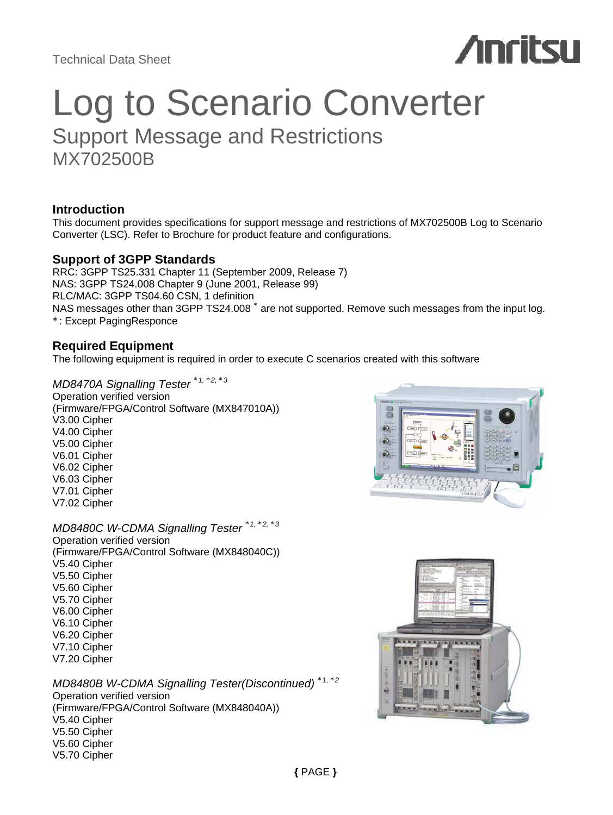Technical Data Sheet

# **Anritsu**

# Log to Scenario Converter Support Message and Restrictions MX702500B

# **Introduction**

This document provides specifications for support message and restrictions of MX702500B Log to Scenario Converter (LSC). Refer to Brochure for product feature and configurations.

# **Support of 3GPP Standards**

RRC: 3GPP TS25.331 Chapter 11 (September 2009, Release 7) NAS: 3GPP TS24.008 Chapter 9 (June 2001, Release 99) RLC/MAC: 3GPP TS04.60 CSN, 1 definition NAS messages other than 3GPP TS24.008  $^*$  are not supported. Remove such messages from the input log. \*: Except PagingResponce

# **Required Equipment**

The following equipment is required in order to execute C scenarios created with this software

*MD8470A Signalling Tester \*1, \*2, \*<sup>3</sup>* Operation verified version (Firmware/FPGA/Control Software (MX847010A)) V3.00 Cipher V4.00 Cipher V5.00 Cipher V6.01 Cipher V6.02 Cipher V6.03 Cipher V7.01 Cipher V7.02 Cipher

*MD8480C W-CDMA Signalling Tester \*1, \*2, \*<sup>3</sup>* Operation verified version (Firmware/FPGA/Control Software (MX848040C)) V5.40 Cipher V5.50 Cipher V5.60 Cipher V5.70 Cipher V6.00 Cipher V6.10 Cipher V6.20 Cipher V7.10 Cipher V7.20 Cipher

*MD8480B W-CDMA Signalling Tester(Discontinued) \*1, \*<sup>2</sup>* Operation verified version (Firmware/FPGA/Control Software (MX848040A)) V5.40 Cipher V5.50 Cipher V5.60 Cipher V5.70 Cipher



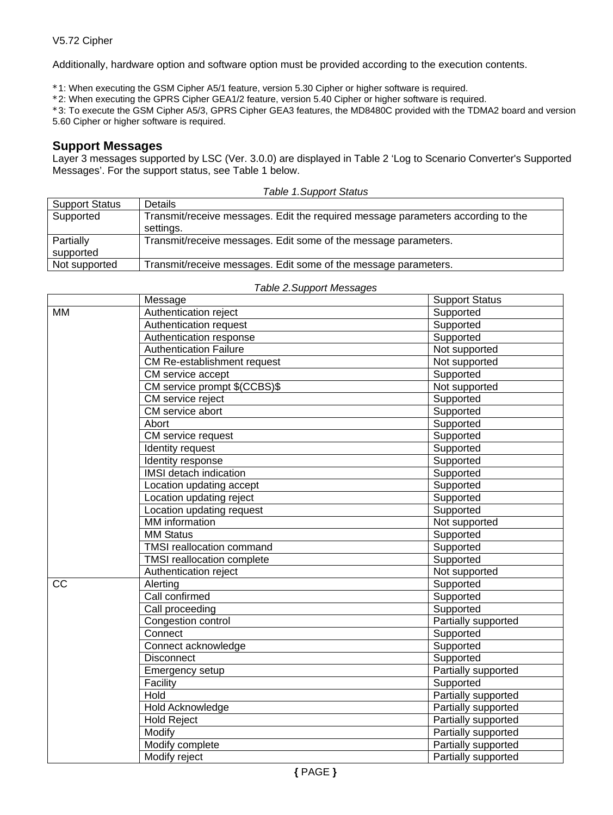Additionally, hardware option and software option must be provided according to the execution contents.

\*1: When executing the GSM Cipher A5/1 feature, version 5.30 Cipher or higher software is required.

\*2: When executing the GPRS Cipher GEA1/2 feature, version 5.40 Cipher or higher software is required.

\*3: To execute the GSM Cipher A5/3, GPRS Cipher GEA3 features, the MD8480C provided with the TDMA2 board and version 5.60 Cipher or higher software is required.

# **Support Messages**

Layer 3 messages supported by LSC (Ver. 3.0.0) are displayed in Table 2 'Log to Scenario Converter's Supported Messages'. For the support status, see Table 1 below.

| Table 1.Support Status |                                                                                               |  |  |
|------------------------|-----------------------------------------------------------------------------------------------|--|--|
| <b>Support Status</b>  | Details                                                                                       |  |  |
| Supported              | Transmit/receive messages. Edit the required message parameters according to the<br>settings. |  |  |
| Partially<br>supported | Transmit/receive messages. Edit some of the message parameters.                               |  |  |
| Not supported          | Transmit/receive messages. Edit some of the message parameters.                               |  |  |

|    | Message                          | <b>Support Status</b> |
|----|----------------------------------|-----------------------|
| МM | Authentication reject            | Supported             |
|    | Authentication request           | Supported             |
|    | Authentication response          | Supported             |
|    | <b>Authentication Failure</b>    | Not supported         |
|    | CM Re-establishment request      | Not supported         |
|    | CM service accept                | Supported             |
|    | CM service prompt \$(CCBS)\$     | Not supported         |
|    | <b>CM</b> service reject         | Supported             |
|    | CM service abort                 | Supported             |
|    | Abort                            | Supported             |
|    | CM service request               | Supported             |
|    | Identity request                 | Supported             |
|    | Identity response                | Supported             |
|    | IMSI detach indication           | Supported             |
|    | Location updating accept         | Supported             |
|    | Location updating reject         | Supported             |
|    | Location updating request        | Supported             |
|    | <b>MM</b> information            | Not supported         |
|    | <b>MM Status</b>                 | Supported             |
|    | <b>TMSI</b> reallocation command | Supported             |
|    | TMSI reallocation complete       | Supported             |
|    | Authentication reject            | Not supported         |
| CC | Alerting                         | Supported             |
|    | Call confirmed                   | Supported             |
|    | Call proceeding                  | Supported             |
|    | Congestion control               | Partially supported   |
|    | Connect                          | Supported             |
|    | Connect acknowledge              | Supported             |
|    | <b>Disconnect</b>                | Supported             |
|    | Emergency setup                  | Partially supported   |
|    | Facility                         | Supported             |
|    | Hold                             | Partially supported   |
|    | Hold Acknowledge                 | Partially supported   |
|    | <b>Hold Reject</b>               | Partially supported   |
|    | Modify                           | Partially supported   |
|    | Modify complete                  | Partially supported   |
|    | Modify reject                    | Partially supported   |

#### *Table 2.Support Messages*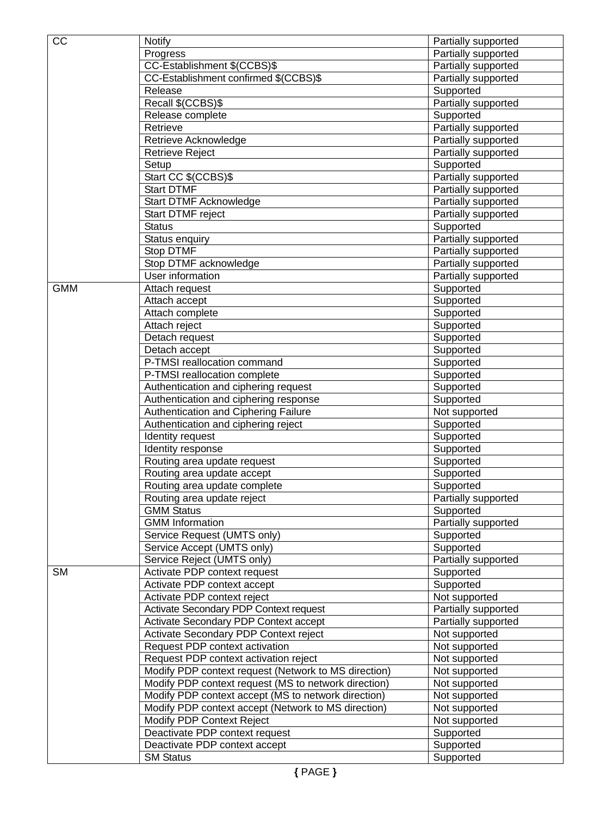| CC         | <b>Notify</b>                                        | Partially supported |
|------------|------------------------------------------------------|---------------------|
|            | Progress                                             | Partially supported |
|            | CC-Establishment \$(CCBS)\$                          | Partially supported |
|            | CC-Establishment confirmed \$(CCBS)\$                | Partially supported |
|            | Release                                              | Supported           |
|            | Recall \$(CCBS)\$                                    | Partially supported |
|            | Release complete                                     | Supported           |
|            | Retrieve                                             | Partially supported |
|            | Retrieve Acknowledge                                 | Partially supported |
|            | <b>Retrieve Reject</b>                               | Partially supported |
|            | Setup                                                | Supported           |
|            | Start CC \$(CCBS)\$                                  | Partially supported |
|            | <b>Start DTMF</b>                                    | Partially supported |
|            | Start DTMF Acknowledge                               | Partially supported |
|            | Start DTMF reject                                    | Partially supported |
|            | <b>Status</b>                                        | Supported           |
|            | Status enquiry                                       | Partially supported |
|            | Stop DTMF                                            | Partially supported |
|            | Stop DTMF acknowledge                                | Partially supported |
|            | User information                                     | Partially supported |
| <b>GMM</b> | Attach request                                       | Supported           |
|            | Attach accept                                        | Supported           |
|            | Attach complete                                      | Supported           |
|            | Attach reject                                        | Supported           |
|            | Detach request                                       | Supported           |
|            | Detach accept                                        | Supported           |
|            | P-TMSI reallocation command                          | Supported           |
|            | P-TMSI reallocation complete                         | Supported           |
|            | Authentication and ciphering request                 | Supported           |
|            | Authentication and ciphering response                | Supported           |
|            | Authentication and Ciphering Failure                 | Not supported       |
|            | Authentication and ciphering reject                  | Supported           |
|            | Identity request                                     | Supported           |
|            | Identity response                                    | Supported           |
|            | Routing area update request                          | Supported           |
|            | Routing area update accept                           | Supported           |
|            | Routing area update complete                         | Supported           |
|            | Routing area update reject                           | Partially supported |
|            | <b>GMM Status</b>                                    | Supported           |
|            | <b>GMM</b> Information                               | Partially supported |
|            | Service Request (UMTS only)                          | Supported           |
|            | Service Accept (UMTS only)                           | Supported           |
|            | Service Reject (UMTS only)                           | Partially supported |
| <b>SM</b>  | Activate PDP context request                         | Supported           |
|            | Activate PDP context accept                          | Supported           |
|            | Activate PDP context reject                          | Not supported       |
|            | Activate Secondary PDP Context request               | Partially supported |
|            | Activate Secondary PDP Context accept                | Partially supported |
|            | Activate Secondary PDP Context reject                | Not supported       |
|            | Request PDP context activation                       | Not supported       |
|            | Request PDP context activation reject                | Not supported       |
|            | Modify PDP context request (Network to MS direction) | Not supported       |
|            | Modify PDP context request (MS to network direction) | Not supported       |
|            | Modify PDP context accept (MS to network direction)  | Not supported       |
|            | Modify PDP context accept (Network to MS direction)  | Not supported       |
|            | Modify PDP Context Reject                            | Not supported       |
|            | Deactivate PDP context request                       | Supported           |
|            | Deactivate PDP context accept                        | Supported           |
|            | <b>SM</b> Status                                     | Supported           |
|            |                                                      |                     |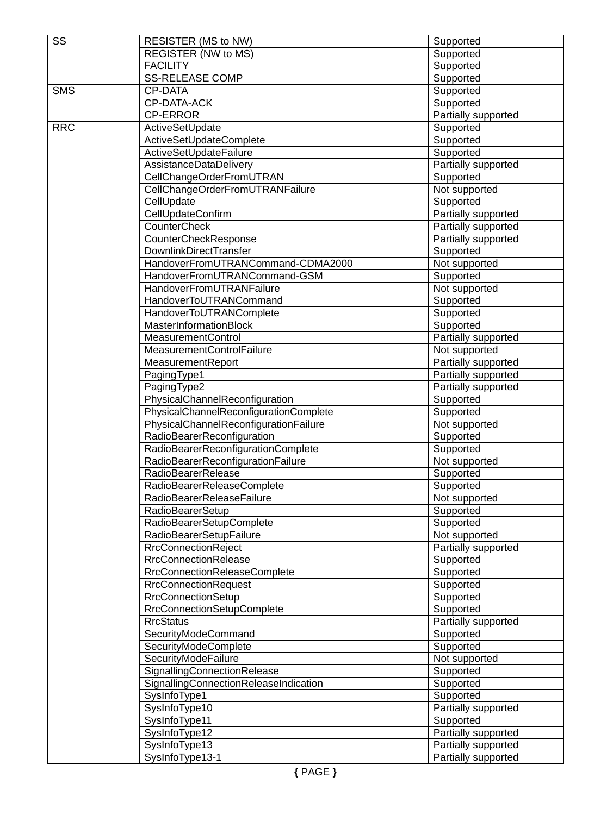| SS         | RESISTER (MS to NW)                    | Supported           |
|------------|----------------------------------------|---------------------|
|            | <b>REGISTER (NW to MS)</b>             | Supported           |
|            | <b>FACILITY</b>                        | Supported           |
|            | <b>SS-RELEASE COMP</b>                 | Supported           |
| <b>SMS</b> | CP-DATA                                | Supported           |
|            | CP-DATA-ACK                            | Supported           |
|            | <b>CP-ERROR</b>                        | Partially supported |
| <b>RRC</b> | ActiveSetUpdate                        | Supported           |
|            | ActiveSetUpdateComplete                | Supported           |
|            | ActiveSetUpdateFailure                 | Supported           |
|            | AssistanceDataDelivery                 | Partially supported |
|            | CellChangeOrderFromUTRAN               | Supported           |
|            | CellChangeOrderFromUTRANFailure        | Not supported       |
|            | CellUpdate                             | Supported           |
|            | CellUpdateConfirm                      | Partially supported |
|            | CounterCheck                           | Partially supported |
|            | CounterCheckResponse                   | Partially supported |
|            | <b>DownlinkDirectTransfer</b>          | Supported           |
|            | HandoverFromUTRANCommand-CDMA2000      | Not supported       |
|            | HandoverFromUTRANCommand-GSM           | Supported           |
|            | HandoverFromUTRANFailure               | Not supported       |
|            | HandoverToUTRANCommand                 | Supported           |
|            | HandoverToUTRANComplete                | Supported           |
|            | MasterInformationBlock                 | Supported           |
|            | <b>MeasurementControl</b>              | Partially supported |
|            | MeasurementControlFailure              | Not supported       |
|            | MeasurementReport                      | Partially supported |
|            | PagingType1                            | Partially supported |
|            | PagingType2                            | Partially supported |
|            | PhysicalChannelReconfiguration         | Supported           |
|            | PhysicalChannelReconfigurationComplete | Supported           |
|            | PhysicalChannelReconfigurationFailure  | Not supported       |
|            | RadioBearerReconfiguration             | Supported           |
|            | RadioBearerReconfigurationComplete     | Supported           |
|            | RadioBearerReconfigurationFailure      | Not supported       |
|            | <b>RadioBearerRelease</b>              | Supported           |
|            | RadioBearerReleaseComplete             | Supported           |
|            | RadioBearerReleaseFailure              | Not supported       |
|            | RadioBearerSetup                       | Supported           |
|            | RadioBearerSetupComplete               | Supported           |
|            | RadioBearerSetupFailure                | Not supported       |
|            | <b>RrcConnectionReject</b>             | Partially supported |
|            | <b>RrcConnectionRelease</b>            | Supported           |
|            | <b>RrcConnectionReleaseComplete</b>    | Supported           |
|            | <b>RrcConnectionRequest</b>            | Supported           |
|            | <b>RrcConnectionSetup</b>              | Supported           |
|            | RrcConnectionSetupComplete             | Supported           |
|            | <b>RrcStatus</b>                       | Partially supported |
|            | SecurityModeCommand                    | Supported           |
|            | SecurityModeComplete                   | Supported           |
|            | SecurityModeFailure                    | Not supported       |
|            | SignallingConnectionRelease            | Supported           |
|            | SignallingConnectionReleaseIndication  | Supported           |
|            | SysInfoType1                           | Supported           |
|            | SysInfoType10                          | Partially supported |
|            | SysInfoType11                          | Supported           |
|            | SysInfoType12                          | Partially supported |
|            | SysInfoType13                          | Partially supported |
|            | SysInfoType13-1                        | Partially supported |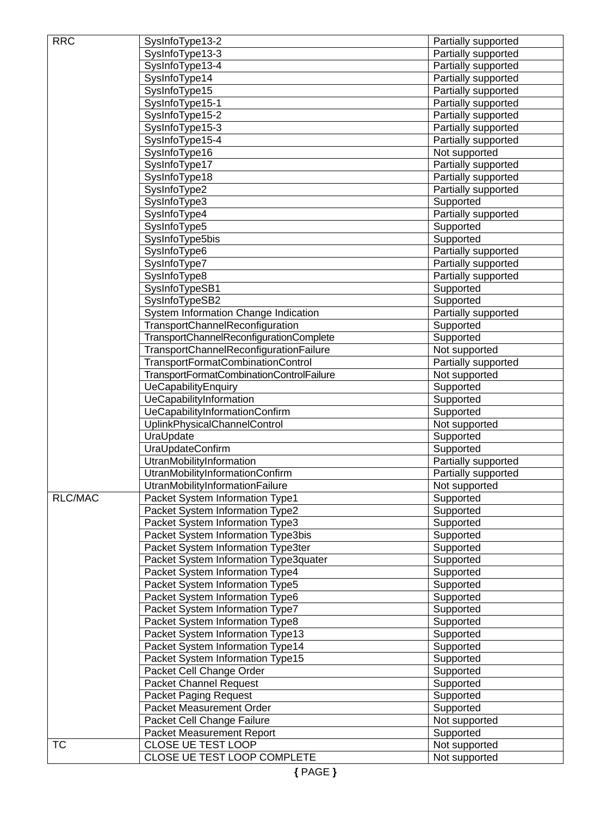| <b>RRC</b>             | SysInfoType13-2                          | Partially supported |
|------------------------|------------------------------------------|---------------------|
|                        | SysInfoType13-3                          | Partially supported |
|                        | SysInfoType13-4                          | Partially supported |
|                        | SysInfoType14                            | Partially supported |
|                        | SysInfoType15                            | Partially supported |
|                        | SysInfoType15-1                          | Partially supported |
|                        | SysInfoType15-2                          | Partially supported |
|                        | SysInfoType15-3                          | Partially supported |
|                        | SysInfoType15-4                          | Partially supported |
|                        | SysInfoType16                            | Not supported       |
|                        | SysInfoType17                            | Partially supported |
|                        |                                          |                     |
|                        | SysInfoType18                            | Partially supported |
|                        | SysInfoType2                             | Partially supported |
|                        | SysInfoType3                             | Supported           |
|                        | SysInfoType4                             | Partially supported |
|                        | SysInfoType5                             | Supported           |
|                        | SysInfoType5bis                          | Supported           |
|                        | SysInfoType6                             | Partially supported |
|                        | SysInfoType7                             | Partially supported |
|                        | SysInfoType8                             | Partially supported |
|                        | SysInfoTypeSB1                           | Supported           |
|                        | SysInfoTypeSB2                           | Supported           |
|                        | System Information Change Indication     | Partially supported |
|                        | TransportChannelReconfiguration          | Supported           |
|                        | TransportChannelReconfigurationComplete  | Supported           |
|                        | TransportChannelReconfigurationFailure   | Not supported       |
|                        | TransportFormatCombinationControl        | Partially supported |
|                        | TransportFormatCombinationControlFailure | Not supported       |
|                        | UeCapabilityEnquiry                      | Supported           |
|                        | UeCapabilityInformation                  | Supported           |
|                        | UeCapabilityInformationConfirm           | Supported           |
|                        | UplinkPhysicalChannelControl             | Not supported       |
|                        | UraUpdate                                | Supported           |
|                        | UraUpdateConfirm                         | Supported           |
|                        | UtranMobilityInformation                 | Partially supported |
|                        | UtranMobilityInformationConfirm          | Partially supported |
|                        | UtranMobilityInformationFailure          | Not supported       |
| RLC/MAC                | Packet System Information Type1          | Supported           |
|                        | Packet System Information Type2          | Supported           |
|                        |                                          |                     |
|                        | Packet System Information Type3          | Supported           |
|                        | Packet System Information Type3bis       | Supported           |
|                        | Packet System Information Type3ter       | Supported           |
|                        | Packet System Information Type3quater    | Supported           |
|                        | Packet System Information Type4          | Supported           |
|                        | Packet System Information Type5          | Supported           |
|                        | Packet System Information Type6          | Supported           |
|                        | Packet System Information Type7          | Supported           |
|                        | Packet System Information Type8          | Supported           |
|                        | Packet System Information Type13         | Supported           |
|                        | Packet System Information Type14         | Supported           |
|                        | Packet System Information Type15         | Supported           |
|                        | Packet Cell Change Order                 | Supported           |
|                        | Packet Channel Request                   | Supported           |
|                        | <b>Packet Paging Request</b>             | Supported           |
|                        | Packet Measurement Order                 | Supported           |
|                        | Packet Cell Change Failure               | Not supported       |
|                        | Packet Measurement Report                | Supported           |
| $\overline{\text{TC}}$ | CLOSE UE TEST LOOP                       | Not supported       |
|                        | CLOSE UE TEST LOOP COMPLETE              | Not supported       |
|                        |                                          |                     |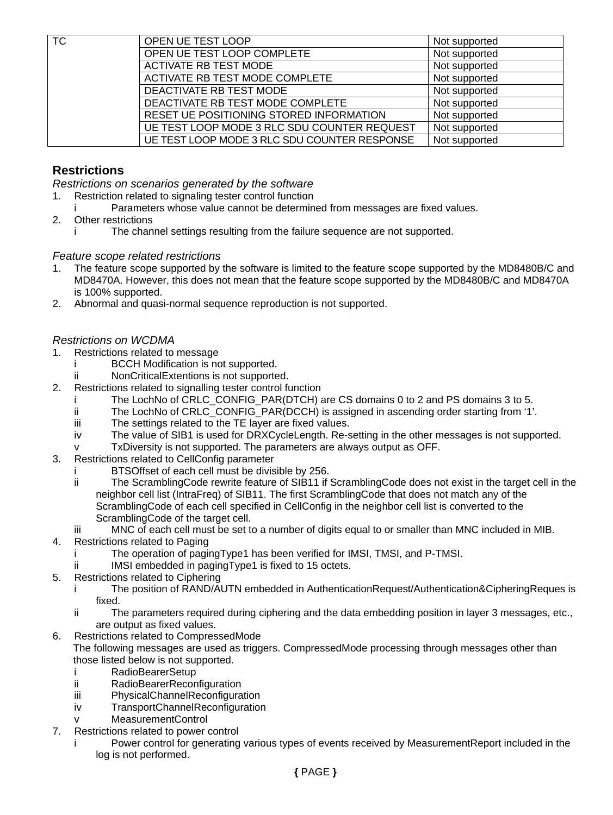| <b>TC</b> | OPEN UE TEST LOOP                            | Not supported |
|-----------|----------------------------------------------|---------------|
|           | OPEN UE TEST LOOP COMPLETE                   | Not supported |
|           | ACTIVATE RB TEST MODE                        | Not supported |
|           | ACTIVATE RB TEST MODE COMPLETE               | Not supported |
|           | DEACTIVATE RB TEST MODE                      | Not supported |
|           | DEACTIVATE RB TEST MODE COMPLETE             | Not supported |
|           | RESET UE POSITIONING STORED INFORMATION      | Not supported |
|           | UE TEST LOOP MODE 3 RLC SDU COUNTER REQUEST  | Not supported |
|           | UE TEST LOOP MODE 3 RLC SDU COUNTER RESPONSE | Not supported |

# **Restrictions**

*Restrictions on scenarios generated by the software* 

- 1. Restriction related to signaling tester control function
	- Parameters whose value cannot be determined from messages are fixed values.
- 2. Other restrictions
	- i The channel settings resulting from the failure sequence are not supported.

# *Feature scope related restrictions*

- The feature scope supported by the software is limited to the feature scope supported by the MD8480B/C and MD8470A. However, this does not mean that the feature scope supported by the MD8480B/C and MD8470A is 100% supported.
- 2. Abnormal and quasi-normal sequence reproduction is not supported.

# *Restrictions on WCDMA*

- 1. Restrictions related to message
	- i BCCH Modification is not supported.
	- ii NonCriticalExtentions is not supported.
- 2. Restrictions related to signalling tester control function
	- The LochNo of CRLC\_CONFIG\_PAR(DTCH) are CS domains 0 to 2 and PS domains 3 to 5.
	- ii The LochNo of CRLC\_CONFIG\_PAR(DCCH) is assigned in ascending order starting from '1'.
	- iii The settings related to the TE layer are fixed values.
	- iv The value of SIB1 is used for DRXCycleLength. Re-setting in the other messages is not supported.
	- v TxDiversity is not supported. The parameters are always output as OFF.
- 3. Restrictions related to CellConfig parameter
	- i BTSOffset of each cell must be divisible by 256.
	- ii The ScramblingCode rewrite feature of SIB11 if ScramblingCode does not exist in the target cell in the neighbor cell list (IntraFreq) of SIB11. The first ScramblingCode that does not match any of the ScramblingCode of each cell specified in CellConfig in the neighbor cell list is converted to the ScramblingCode of the target cell.
	- iii MNC of each cell must be set to a number of digits equal to or smaller than MNC included in MIB.
- 4. Restrictions related to Paging
	- The operation of pagingType1 has been verified for IMSI, TMSI, and P-TMSI.
	- ii IMSI embedded in pagingType1 is fixed to 15 octets.
- 5. Restrictions related to Ciphering
	- i The position of RAND/AUTN embedded in AuthenticationRequest/Authentication&CipheringReques is fixed.
	- ii The parameters required during ciphering and the data embedding position in layer 3 messages, etc., are output as fixed values.
- 6. Restrictions related to CompressedMode

The following messages are used as triggers. CompressedMode processing through messages other than those listed below is not supported.

- i RadioBearerSetup
- ii RadioBearerReconfiguration
- iii PhysicalChannelReconfiguration
- iv TransportChannelReconfiguration
- v MeasurementControl
- 7. Restrictions related to power control
	- Power control for generating various types of events received by MeasurementReport included in the log is not performed.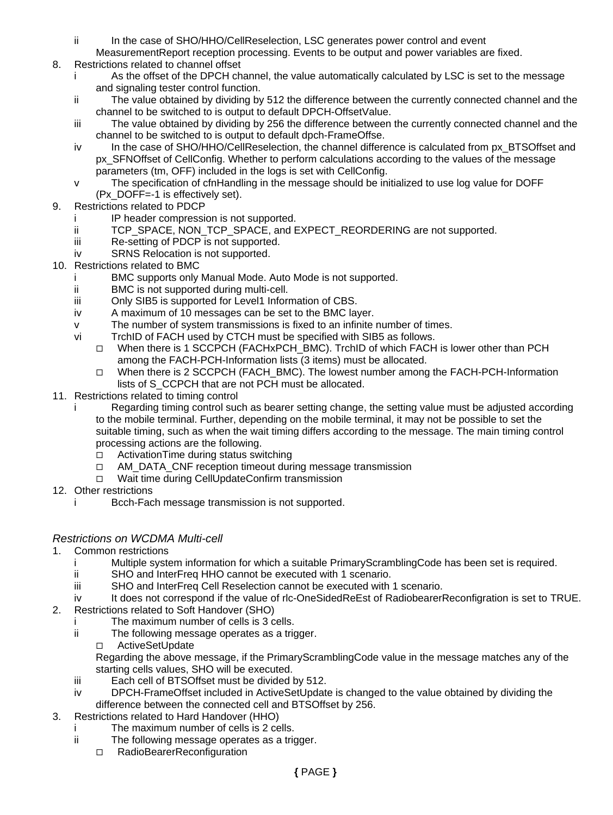- ii In the case of SHO/HHO/CellReselection, LSC generates power control and event
- MeasurementReport reception processing. Events to be output and power variables are fixed.
- 8. Restrictions related to channel offset
	- As the offset of the DPCH channel, the value automatically calculated by LSC is set to the message and signaling tester control function.
	- ii The value obtained by dividing by 512 the difference between the currently connected channel and the channel to be switched to is output to default DPCH-OffsetValue.
	- iii The value obtained by dividing by 256 the difference between the currently connected channel and the channel to be switched to is output to default dpch-FrameOffse.
	- iv In the case of SHO/HHO/CellReselection, the channel difference is calculated from px\_BTSOffset and px\_SFNOffset of CellConfig. Whether to perform calculations according to the values of the message parameters (tm, OFF) included in the logs is set with CellConfig.
	- v The specification of cfnHandling in the message should be initialized to use log value for DOFF (Px\_DOFF=-1 is effectively set).
- 9. Restrictions related to PDCP
	- i IP header compression is not supported.
	- ii TCP\_SPACE, NON\_TCP\_SPACE, and EXPECT\_REORDERING are not supported.
	- iii Re-setting of PDCP is not supported.
	- iv SRNS Relocation is not supported.
- 10. Restrictions related to BMC
	- i BMC supports only Manual Mode. Auto Mode is not supported.
	- ii BMC is not supported during multi-cell.
	- iii Only SIB5 is supported for Level1 Information of CBS.
	- iv A maximum of 10 messages can be set to the BMC layer.
	- v The number of system transmissions is fixed to an infinite number of times.
	- vi TrchID of FACH used by CTCH must be specified with SIB5 as follows.
		- When there is 1 SCCPCH (FACHxPCH\_BMC). TrchID of which FACH is lower other than PCH among the FACH-PCH-Information lists (3 items) must be allocated.
		- When there is 2 SCCPCH (FACH\_BMC). The lowest number among the FACH-PCH-Information lists of S\_CCPCH that are not PCH must be allocated.
- 11. Restrictions related to timing control
	- i Regarding timing control such as bearer setting change, the setting value must be adjusted according to the mobile terminal. Further, depending on the mobile terminal, it may not be possible to set the suitable timing, such as when the wait timing differs according to the message. The main timing control processing actions are the following.
		- □ ActivationTime during status switching
		- $\Box$  AM\_DATA\_CNF reception timeout during message transmission
		- □ Wait time during CellUpdateConfirm transmission
- 12. Other restrictions
	- i Bcch-Fach message transmission is not supported.

# *Restrictions on WCDMA Multi-cell*

- 1. Common restrictions
	- i Multiple system information for which a suitable PrimaryScramblingCode has been set is required.
	- ii SHO and InterFreq HHO cannot be executed with 1 scenario.
	- iii SHO and InterFreq Cell Reselection cannot be executed with 1 scenario.
	- iv It does not correspond if the value of rlc-OneSidedReEst of RadiobearerReconfigration is set to TRUE.
- 2. Restrictions related to Soft Handover (SHO)
	- i The maximum number of cells is 3 cells.
	- ii The following message operates as a trigger.
		- □ ActiveSetUpdate

Regarding the above message, if the PrimaryScramblingCode value in the message matches any of the starting cells values, SHO will be executed.

- iii Each cell of BTSOffset must be divided by 512.
- iv DPCH-FrameOffset included in ActiveSetUpdate is changed to the value obtained by dividing the difference between the connected cell and BTSOffset by 256.
- 3. Restrictions related to Hard Handover (HHO)
	- i The maximum number of cells is 2 cells.
	- ii The following message operates as a trigger.
		- □ RadioBearerReconfiguration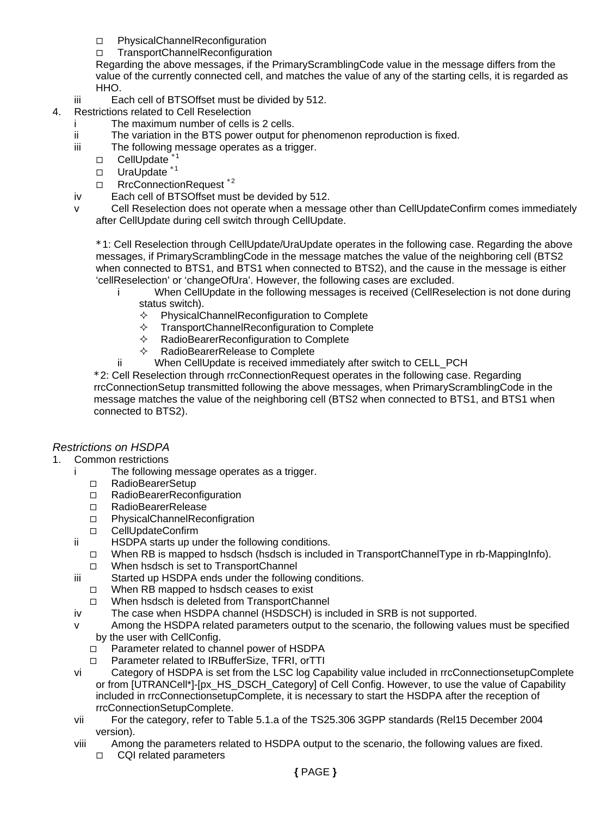- □ PhysicalChannelReconfiguration
- □ TransportChannelReconfiguration

Regarding the above messages, if the PrimaryScramblingCode value in the message differs from the value of the currently connected cell, and matches the value of any of the starting cells, it is regarded as HHO.

- iii Each cell of BTSOffset must be divided by 512.
- 4. Restrictions related to Cell Reselection
	- i The maximum number of cells is 2 cells.
	- ii The variation in the BTS power output for phenomenon reproduction is fixed.
	- iii The following message operates as a trigger.
		- □ CellUpdate<sup>\*</sup>
		- □ UraUpdate \*1
		- □ RrcConnectionRequest<sup>\*2</sup>
	- iv Each cell of BTSOffset must be devided by 512.
	- v Cell Reselection does not operate when a message other than CellUpdateConfirm comes immediately after CellUpdate during cell switch through CellUpdate.

\*1: Cell Reselection through CellUpdate/UraUpdate operates in the following case. Regarding the above messages, if PrimaryScramblingCode in the message matches the value of the neighboring cell (BTS2 when connected to BTS1, and BTS1 when connected to BTS2), and the cause in the message is either 'cellReselection' or 'changeOfUra'. However, the following cases are excluded.

- When CellUpdate in the following messages is received (CellReselection is not done during status switch).
	- $\Diamond$  PhysicalChannelReconfiguration to Complete
	- $\Diamond$  TransportChannelReconfiguration to Complete
	- $\Diamond$  RadioBearerReconfiguration to Complete
	- RadioBearerRelease to Complete
- ii When CellUpdate is received immediately after switch to CELL PCH

\*2: Cell Reselection through rrcConnectionRequest operates in the following case. Regarding rrcConnectionSetup transmitted following the above messages, when PrimaryScramblingCode in the message matches the value of the neighboring cell (BTS2 when connected to BTS1, and BTS1 when connected to BTS2).

# *Restrictions on HSDPA*

- 1. Common restrictions
	- i The following message operates as a trigger.
		- □ RadioBearerSetup
		- □ RadioBearerReconfiguration
		- □ RadioBearerRelease
		- □ PhysicalChannelReconfigration
		- □ CellUpdateConfirm
	- ii HSDPA starts up under the following conditions.
		- $\Box$  When RB is mapped to hsdsch (hsdsch is included in TransportChannelType in rb-MappingInfo).
		- □ When hsdsch is set to TransportChannel
	- iii Started up HSDPA ends under the following conditions.
		- $\Box$  When RB mapped to hsdsch ceases to exist
		- □ When hsdsch is deleted from TransportChannel
	- iv The case when HSDPA channel (HSDSCH) is included in SRB is not supported.
	- v Among the HSDPA related parameters output to the scenario, the following values must be specified by the user with CellConfig.
		- □ Parameter related to channel power of HSDPA
		- □ Parameter related to IRBufferSize, TFRI, orTTI
	- vi Category of HSDPA is set from the LSC log Capability value included in rrcConnectionsetupComplete or from [UTRANCell\*]-[px\_HS\_DSCH\_Category] of Cell Config. However, to use the value of Capability included in rrcConnectionsetupComplete, it is necessary to start the HSDPA after the reception of rrcConnectionSetupComplete.
	- vii For the category, refer to Table 5.1.a of the TS25.306 3GPP standards (Rel15 December 2004 version).
	- viii Among the parameters related to HSDPA output to the scenario, the following values are fixed. □ CQI related parameters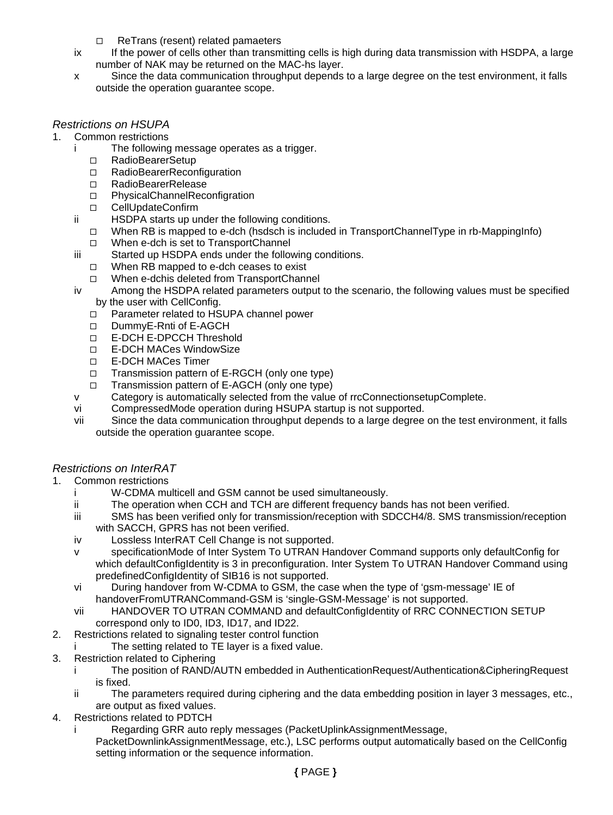- □ ReTrans (resent) related pamaeters
- ix If the power of cells other than transmitting cells is high during data transmission with HSDPA, a large number of NAK may be returned on the MAC-hs layer.
- x Since the data communication throughput depends to a large degree on the test environment, it falls outside the operation guarantee scope.

# *Restrictions on HSUPA*

- 1. Common restrictions
	- i The following message operates as a trigger.
		- □ RadioBearerSetup
		- □ RadioBearerReconfiguration
		- □ RadioBearerRelease
		- □ PhysicalChannelReconfigration
		- □ CellUpdateConfirm
	- ii HSDPA starts up under the following conditions.
		- $\Box$  When RB is mapped to e-dch (hsdsch is included in TransportChannelType in rb-MappingInfo)
		- □ When e-dch is set to TransportChannel
	- iii Started up HSDPA ends under the following conditions. When RB mapped to e-dch ceases to exist
		- □ When e-dchis deleted from TransportChannel
	- iv Among the HSDPA related parameters output to the scenario, the following values must be specified by the user with CellConfig.
		- □ Parameter related to HSUPA channel power
		- DummvE-Rnti of E-AGCH
		- E-DCH E-DPCCH Threshold
		- □ E-DCH MACes WindowSize
		- E-DCH MACes Timer
		- □ Transmission pattern of E-RGCH (only one type)
		- □ Transmission pattern of E-AGCH (only one type)
	- v Category is automatically selected from the value of rrcConnectionsetupComplete.
	- vi CompressedMode operation during HSUPA startup is not supported.
	- vii Since the data communication throughput depends to a large degree on the test environment, it falls outside the operation guarantee scope.

# *Restrictions on InterRAT*

- 1. Common restrictions
	- i W-CDMA multicell and GSM cannot be used simultaneously.
	- ii The operation when CCH and TCH are different frequency bands has not been verified.
	- iii SMS has been verified only for transmission/reception with SDCCH4/8. SMS transmission/reception with SACCH, GPRS has not been verified.
	- iv Lossless InterRAT Cell Change is not supported.
	- v specificationMode of Inter System To UTRAN Handover Command supports only defaultConfig for which defaultConfigIdentity is 3 in preconfiguration. Inter System To UTRAN Handover Command using predefinedConfigIdentity of SIB16 is not supported.
	- vi During handover from W-CDMA to GSM, the case when the type of 'gsm-message' IE of handoverFromUTRANCommand-GSM is 'single-GSM-Message' is not supported.
	- vii HANDOVER TO UTRAN COMMAND and defaultConfigIdentity of RRC CONNECTION SETUP correspond only to ID0, ID3, ID17, and ID22.
- 2. Restrictions related to signaling tester control function
	- i The setting related to TE layer is a fixed value.
- 3. Restriction related to Ciphering
	- i The position of RAND/AUTN embedded in AuthenticationRequest/Authentication&CipheringRequest is fixed.
	- ii The parameters required during ciphering and the data embedding position in layer 3 messages, etc., are output as fixed values.
- 4. Restrictions related to PDTCH
	- i Regarding GRR auto reply messages (PacketUplinkAssignmentMessage,
		- PacketDownlinkAssignmentMessage, etc.), LSC performs output automatically based on the CellConfig setting information or the sequence information.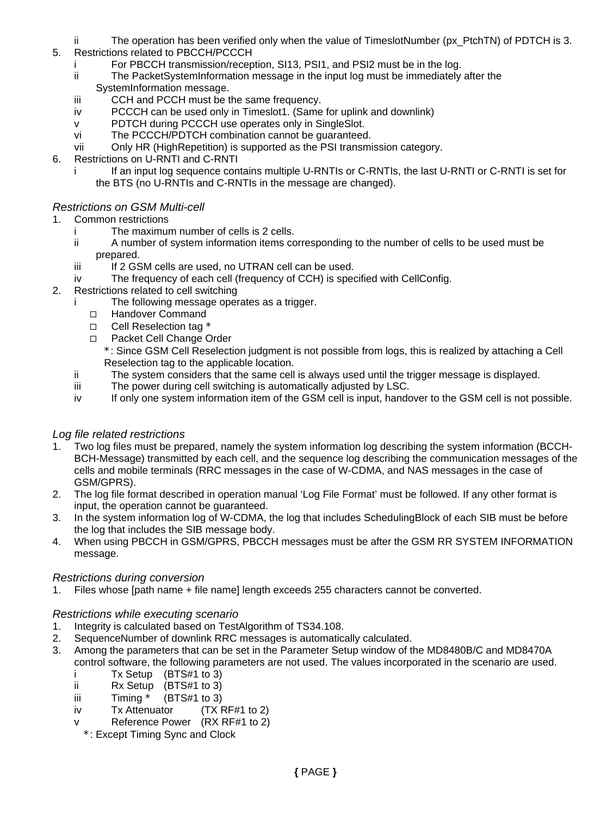- ii The operation has been verified only when the value of TimeslotNumber (px PtchTN) of PDTCH is 3.
- 5. Restrictions related to PBCCH/PCCCH
	- For PBCCH transmission/reception, SI13, PSI1, and PSI2 must be in the log.
	- ii The PacketSystemInformation message in the input log must be immediately after the SystemInformation message.
	- iii CCH and PCCH must be the same frequency.
	- iv PCCCH can be used only in Timeslot1. (Same for uplink and downlink)
	- v PDTCH during PCCCH use operates only in SingleSlot.
	- vi The PCCCH/PDTCH combination cannot be guaranteed.
	- vii Only HR (HighRepetition) is supported as the PSI transmission category.
- 6. Restrictions on U-RNTI and C-RNTI
	- i If an input log sequence contains multiple U-RNTIs or C-RNTIs, the last U-RNTI or C-RNTI is set for the BTS (no U-RNTIs and C-RNTIs in the message are changed).

# *Restrictions on GSM Multi-cell*

- 1. Common restrictions
	- i The maximum number of cells is 2 cells.
	- ii A number of system information items corresponding to the number of cells to be used must be prepared.
	- iii If 2 GSM cells are used, no UTRAN cell can be used.
	- iv The frequency of each cell (frequency of CCH) is specified with CellConfig.
- 2. Restrictions related to cell switching
	- i The following message operates as a trigger.
		- □ Handover Command
		- $\Box$  Cell Reselection tag  $*$
		- □ Packet Cell Change Order
		- \*: Since GSM Cell Reselection judgment is not possible from logs, this is realized by attaching a Cell Reselection tag to the applicable location.
	- ii The system considers that the same cell is always used until the trigger message is displayed.
	- iii The power during cell switching is automatically adjusted by LSC.
	- iv If only one system information item of the GSM cell is input, handover to the GSM cell is not possible.

# *Log file related restrictions*

- 1. Two log files must be prepared, namely the system information log describing the system information (BCCH-BCH-Message) transmitted by each cell, and the sequence log describing the communication messages of the cells and mobile terminals (RRC messages in the case of W-CDMA, and NAS messages in the case of GSM/GPRS).
- 2. The log file format described in operation manual 'Log File Format' must be followed. If any other format is input, the operation cannot be guaranteed.
- 3. In the system information log of W-CDMA, the log that includes SchedulingBlock of each SIB must be before the log that includes the SIB message body.
- 4. When using PBCCH in GSM/GPRS, PBCCH messages must be after the GSM RR SYSTEM INFORMATION message.

# *Restrictions during conversion*

1. Files whose [path name + file name] length exceeds 255 characters cannot be converted.

# *Restrictions while executing scenario*

- 1. Integrity is calculated based on TestAlgorithm of TS34.108.
- 2. SequenceNumber of downlink RRC messages is automatically calculated.
- 3. Among the parameters that can be set in the Parameter Setup window of the MD8480B/C and MD8470A control software, the following parameters are not used. The values incorporated in the scenario are used.
	- i Tx Setup (BTS#1 to 3)
	- ii Rx Setup (BTS#1 to 3)
	- iii  $\qquad$  Timing  $*$  (BTS#1 to 3)
	- iv Tx Attenuator (TX RF#1 to 2)
	- Reference Power (RX RF#1 to 2)
	- \*: Except Timing Sync and Clock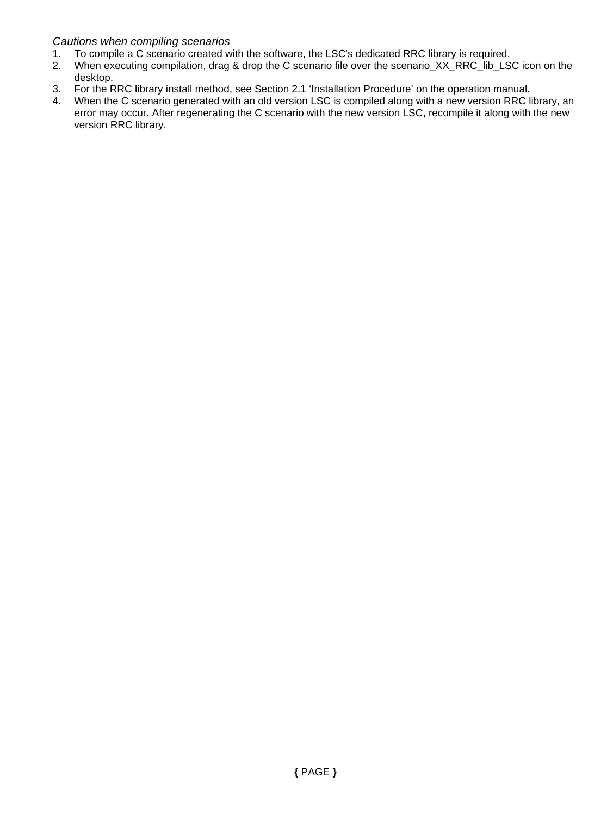# *Cautions when compiling scenarios*

- 1. To compile a C scenario created with the software, the LSC's dedicated RRC library is required.
- 2. When executing compilation, drag & drop the C scenario file over the scenario\_XX\_RRC\_lib\_LSC icon on the desktop.
- 3. For the RRC library install method, see Section 2.1 'Installation Procedure' on the operation manual.
- 4. When the C scenario generated with an old version LSC is compiled along with a new version RRC library, an error may occur. After regenerating the C scenario with the new version LSC, recompile it along with the new version RRC library.